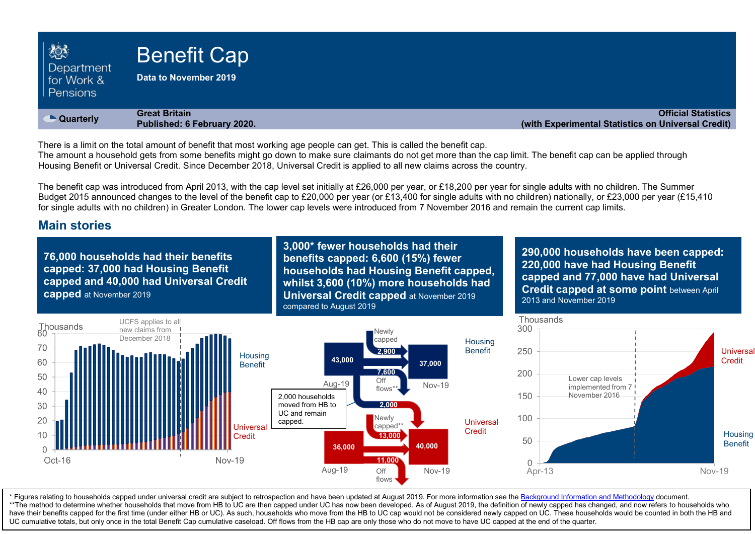| 203<br>Department<br>for Work &<br>l Pensions | <b>Benefit Cap</b><br>Data to November 2019         |                                                                                  |
|-----------------------------------------------|-----------------------------------------------------|----------------------------------------------------------------------------------|
| • Quarterly                                   | <b>Great Britain</b><br>Published: 6 February 2020. | <b>Official Statistics</b><br>(with Experimental Statistics on Universal Credit) |

There is a limit on the total amount of benefit that most working age people can get. This is called the benefit cap.

The amount a household gets from some benefits might go down to make sure claimants do not get more than the cap limit. The benefit cap can be applied through Housing Benefit or Universal Credit. Since December 2018, Universal Credit is applied to all new claims across the country.

The benefit cap was introduced from April 2013, with the cap level set initially at £26,000 per year, or £18,200 per year for single adults with no children. The Summer Budget 2015 announced changes to the level of the benefit cap to £20,000 per year (or £13,400 for single adults with no children) nationally, or £23,000 per year (£15,410 for single adults with no children) in Greater London. The lower cap levels were introduced from 7 November 2016 and remain the current cap limits.

### **Main stories**

**76,000 households had their benefits capped: 37,000 had Housing Benefit capped and 40,000 had Universal Credit capped** at November 2019

**3,000\* fewer households had their benefits capped: 6,600 (15%) fewer households had Housing Benefit capped, whilst 3,600 (10%) more households had Universal Credit capped** at November 2019 compared to August 2019

**290,000 households have been capped: 220,000 have had Housing Benefit capped and 77,000 have had Universal Credit capped at some point** between April 2013 and November 2019



have their benefits capped for the first time (under either HB or UC). As such, households who move from the HB to UC cap would not be considered newly capped on UC. These households would be counted in both the HB and and \* Figures relating to households capped under universal credit are subject to retrospection and have been updated at August 2019. For more information see th[e Background Information and Methodology](https://www.gov.uk/government/publications/benefit-cap-statistics-background-information-and-methodology) document. \*\*The method to determine whether households that move from HB to UC are then capped under UC has now been developed. As of August 2019, the definition of newly capped has changed, and now refers to households who UC cumulative totals, but only once in the total Benefit Cap cumulative caseload. Off flows from the HB cap are only those who do not move to have UC capped at the end of the quarter.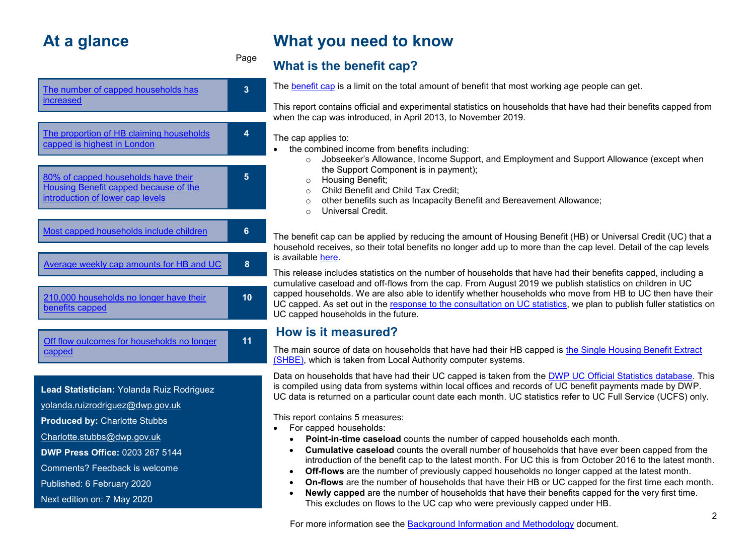# **At a glance**

| The number of capped households has<br>increased                                                                                        | 3  |  |  |
|-----------------------------------------------------------------------------------------------------------------------------------------|----|--|--|
|                                                                                                                                         |    |  |  |
| The proportion of HB claiming households<br>capped is highest in London                                                                 | 4  |  |  |
|                                                                                                                                         |    |  |  |
| 80% of capped households have their<br>Housing Benefit capped because of the<br>introduction of lower cap levels                        | 5  |  |  |
|                                                                                                                                         |    |  |  |
| Most capped households include children                                                                                                 | 6  |  |  |
|                                                                                                                                         |    |  |  |
| Average weekly cap amounts for HB and UC                                                                                                | 8  |  |  |
|                                                                                                                                         |    |  |  |
| 210,000 households no longer have their<br>benefits capped                                                                              | 10 |  |  |
|                                                                                                                                         |    |  |  |
| Off flow outcomes for households no longer<br>capped                                                                                    | 11 |  |  |
|                                                                                                                                         |    |  |  |
| Lead Statistician: Yolanda Ruiz Rodriguez<br>والمرواد والمستحيل والمستحل المتحدث والمتحلف والمستحلف والمستحل والمستحل والمستحل والمستحل |    |  |  |

[yolanda.ruizrodriguez@dwp.gov.uk](mailto:yolanda.ruizrodriguez@dwp.gov.uk)

**Produced by:** Charlotte Stubbs

[Charlotte.stubbs@dwp.gov.uk](mailto:Charlotte.stubbs@dwp.gov.uk)

**DWP Press Office:** 0203 267 5144

Comments? Feedback is welcome

Published: 6 February 2020

Next edition on: 7 May 2020

# **What you need to know**

Page

**What is the benefit cap?**

The [benefit cap](https://www.gov.uk/benefit-cap) is a limit on the total amount of benefit that most working age people can get.

This report contains official and experimental statistics on households that have had their benefits capped from when the cap was introduced, in April 2013, to November 2019.

### The cap applies to:

- the combined income from benefits including:
	- $\circ$  Jobseeker's Allowance, Income Support, and Employment and Support Allowance (except when the Support Component is in payment);
	- o Housing Benefit;
	- o Child Benefit and Child Tax Credit;
	- o other benefits such as Incapacity Benefit and Bereavement Allowance;
	- o Universal Credit.

The benefit cap can be applied by reducing the amount of Housing Benefit (HB) or Universal Credit (UC) that a household receives, so their total benefits no longer add up to more than the cap level. Detail of the cap levels is available here.

This release includes statistics on the number of households that have had their benefits capped, including a cumulative caseload and off-flows from the cap. From August 2019 we publish statistics on children in UC capped households. We are also able to identify whether households who move from HB to UC then have their UC capped. As set out in the [response to the consultation on UC statistics,](https://www.gov.uk/government/publications/universal-credit-statistics-background-information/universal-credit-statistics-release-strategy) we plan to publish fuller statistics on UC capped households in the future.

## **How is it measured?**

The main source of data on households that have had their HB capped is [the Single Housing Benefit Extract](#page-13-0)  [\(SHBE\),](#page-13-0) which is taken from Local Authority computer systems.

Data on households that have had their UC capped is taken from the [DWP UC Official Statistics database.](#page-13-1) This is compiled using data from systems within local offices and records of UC benefit payments made by DWP. UC data is returned on a particular count date each month. UC statistics refer to UC Full Service (UCFS) only.

This report contains 5 measures:

- For capped households:
	- **Point-in-time caseload** counts the number of capped households each month.
	- **Cumulative caseload** counts the overall number of households that have ever been capped from the introduction of the benefit cap to the latest month. For UC this is from October 2016 to the latest month.
	- **Off-flows** are the number of previously capped households no longer capped at the latest month.
	- **On-flows** are the number of households that have their HB or UC capped for the first time each month.
	- **Newly capped** are the number of households that have their benefits capped for the very first time. This excludes on flows to the UC cap who were previously capped under HB.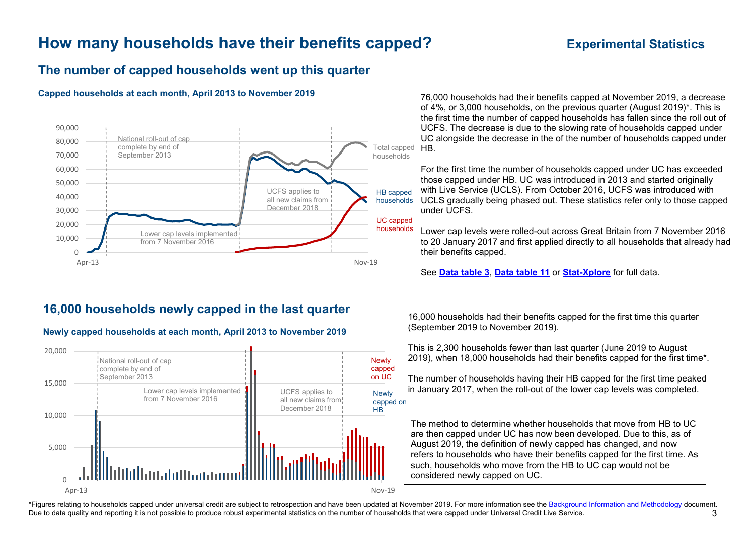# **How many households have their benefits capped? Experimental Statistics**

### <span id="page-2-0"></span>**The number of capped households went up this quarter**

#### **Capped households at each month, April 2013 to November 2019**



## **16,000 households newly capped in the last quarter**

# **Newly capped households at each month, April 2013 to November 2019**



76,000 households had their benefits capped at November 2019, a decrease of 4%, or 3,000 households, on the previous quarter (August 2019)\*. This is the first time the number of capped households has fallen since the roll out of UCFS. The decrease is due to the slowing rate of households capped under UC alongside the decrease in the of the number of households capped under HB.

For the first time the number of households capped under UC has exceeded those capped under HB. UC was introduced in 2013 and started originally with Live Service (UCLS). From October 2016, UCFS was introduced with UCLS gradually being phased out. These statistics refer only to those capped under UCFS.

Lower cap levels were rolled-out across Great Britain from 7 November 2016 to 20 January 2017 and first applied directly to all households that already had their benefits capped.

See **[Data table 3](https://www.gov.uk/government/statistics/benefit-cap-number-of-households-capped-to-november-2019)**, **[Data table 11](https://www.gov.uk/government/statistics/benefit-cap-number-of-households-capped-to-november-2019)** or **[Stat-Xplore](https://stat-xplore.dwp.gov.uk/webapi/jsf/login.xhtml)** for full data.

16,000 households had their benefits capped for the first time this quarter (September 2019 to November 2019).

This is 2,300 households fewer than last quarter (June 2019 to August 2019), when 18,000 households had their benefits capped for the first time\*.

The number of households having their HB capped for the first time peaked in January 2017, when the roll-out of the lower cap levels was completed.

The method to determine whether households that move from HB to UC are then capped under UC has now been developed. Due to this, as of August 2019, the definition of newly capped has changed, and now refers to households who have their benefits capped for the first time. As such, households who move from the HB to UC cap would not be considered newly capped on UC.

\*Figures relating to households capped under universal credit are subject to retrospection and have been updated at November 2019. For more information see the [Background Information and Methodology](https://www.gov.uk/government/publications/benefit-cap-statistics-background-information-and-methodology) document. Due to data quality and reporting it is not possible to produce robust experimental statistics on the number of households that were capped under Universal Credit Live Service.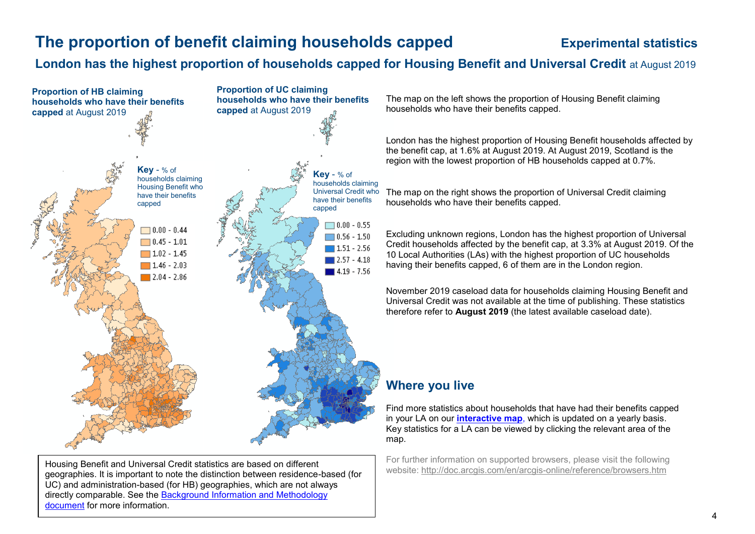# <span id="page-3-0"></span>**The proportion of benefit claiming households capped <b>Experimental statistics**

# **London has the highest proportion of households capped for Housing Benefit and Universal Credit** at August 2019



Housing Benefit and Universal Credit statistics are based on different geographies. It is important to note the distinction between residence-based (for UC) and administration-based (for HB) geographies, which are not always directly comparable. See the [Background Information and Methodology](https://www.gov.uk/government/publications/benefit-cap-statistics-background-information-and-methodology)  [document](https://www.gov.uk/government/publications/benefit-cap-statistics-background-information-and-methodology) for more information.

The map on the left shows the proportion of Housing Benefit claiming households who have their benefits capped.

London has the highest proportion of Housing Benefit households affected by the benefit cap, at 1.6% at August 2019. At August 2019, Scotland is the region with the lowest proportion of HB households capped at 0.7%.

The map on the right shows the proportion of Universal Credit claiming households who have their benefits capped.

Excluding unknown regions, London has the highest proportion of Universal Credit households affected by the benefit cap, at 3.3% at August 2019. Of the 10 Local Authorities (LAs) with the highest proportion of UC households having their benefits capped, 6 of them are in the London region.

November 2019 caseload data for households claiming Housing Benefit and Universal Credit was not available at the time of publishing. These statistics therefore refer to **August 2019** (the latest available caseload date).

# **Where you live**

Find more statistics about households that have had their benefits capped in your LA on our **[interactive map](http://dwp-stats.maps.arcgis.com/apps/Viewer/index.html?appid=9cfbe6a929db475587f8829cbc4bf1e5)**, which is updated on a yearly basis. Key statistics for a LA can be viewed by clicking the relevant area of the map.

For further information on supported browsers, please visit the following website:<http://doc.arcgis.com/en/arcgis-online/reference/browsers.htm>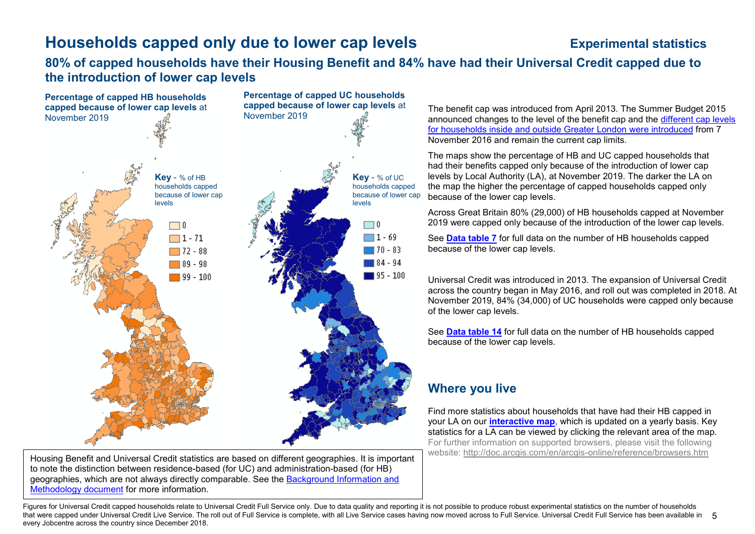# <span id="page-4-0"></span>**Households capped only due to lower cap levels <b>Experimental statistics**

### **80% of capped households have their Housing Benefit and 84% have had their Universal Credit capped due to the introduction of lower cap levels**



Housing Benefit and Universal Credit statistics are based on different geographies. It is important to note the distinction between residence-based (for UC) and administration-based (for HB) geographies, which are not always directly comparable. See the [Background Information and](https://www.gov.uk/government/publications/benefit-cap-statistics-background-information-and-methodology)  [Methodology document](https://www.gov.uk/government/publications/benefit-cap-statistics-background-information-and-methodology) for more information.

The benefit cap was introduced from April 2013. The Summer Budget 2015 announced changes to the level of the benefit cap and the [different cap levels](https://www.gov.uk/benefit-cap/benefit-cap-amounts)  [for households inside and outside Greater London were introduced](https://www.gov.uk/benefit-cap/benefit-cap-amounts) from 7 November 2016 and remain the current cap limits.

The maps show the percentage of HB and UC capped households that had their benefits capped only because of the introduction of lower cap levels by Local Authority (LA), at November 2019. The darker the LA on the map the higher the percentage of capped households capped only because of the lower cap levels.

Across Great Britain 80% (29,000) of HB households capped at November 2019 were capped only because of the introduction of the lower cap levels.

See **[Data table 7](https://www.gov.uk/government/statistics/benefit-cap-number-of-households-capped-to-november-2019)** for full data on the number of HB households capped because of the lower cap levels.

Universal Credit was introduced in 2013. The expansion of Universal Credit across the country began in May 2016, and roll out was completed in 2018. At November 2019, 84% (34,000) of UC households were capped only because of the lower cap levels.

See **[Data table 14](https://www.gov.uk/government/statistics/benefit-cap-number-of-households-capped-to-https:/www.gov.uk/government/statistics/benefit-cap-number-of-households-capped-to-https:/www.gov.uk/government/statistics/benefit-cap-number-of-households-capped-to-november-2019)** for full data on the number of HB households capped because of the lower cap levels.

### **Where you live**

Find more statistics about households that have had their HB capped in your LA on our **[interactive map](http://dwp-stats.maps.arcgis.com/apps/Viewer/index.html?appid=9cfbe6a929db475587f8829cbc4bf1e5)**, which is updated on a yearly basis. Key statistics for a LA can be viewed by clicking the relevant area of the map. For further information on supported browsers, please visit the following website:<http://doc.arcgis.com/en/arcgis-online/reference/browsers.htm>

that were capped under Universal Credit Live Service. The roll out of Full Service is complete, with all Live Service cases having now moved across to Full Service. Universal Credit Full Service has been available in 5 Figures for Universal Credit capped households relate to Universal Credit Full Service only. Due to data quality and reporting it is not possible to produce robust experimental statistics on the number of households every Jobcentre across the country since December 2018.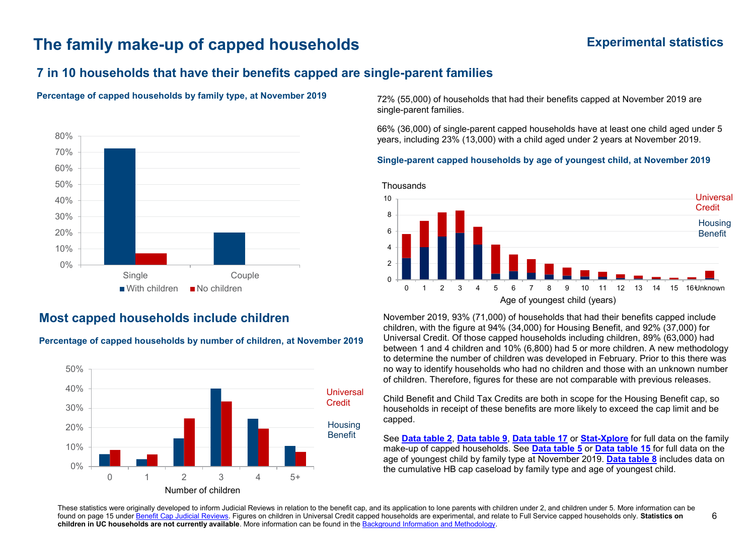# **The family make-up of capped households Experimental statistics**

# **7 in 10 households that have their benefits capped are single-parent families**

### **Percentage of capped households by family type, at November 2019** 72% (55,000) of households that had their benefits capped at November 2019 are



### <span id="page-5-0"></span>**Most capped households include children**

**Percentage of capped households by number of children, at November 2019**



single-parent families.

66% (36,000) of single-parent capped households have at least one child aged under 5 years, including 23% (13,000) with a child aged under 2 years at November 2019.

### **Single-parent capped households by age of youngest child, at November 2019**



November 2019, 93% (71,000) of households that had their benefits capped include children, with the figure at 94% (34,000) for Housing Benefit, and 92% (37,000) for Universal Credit. Of those capped households including children, 89% (63,000) had between 1 and 4 children and 10% (6,800) had 5 or more children. A new methodology to determine the number of children was developed in February. Prior to this there was no way to identify households who had no children and those with an unknown number of children. Therefore, figures for these are not comparable with previous releases.

Child Benefit and Child Tax Credits are both in scope for the Housing Benefit cap, so households in receipt of these benefits are more likely to exceed the cap limit and be capped.

See **[Data table 2](https://www.gov.uk/government/statistics/benefit-cap-number-of-households-capped-to-https:/www.gov.uk/government/statistics/benefit-cap-number-of-households-capped-to-november-2019)**, **[Data table 9](https://www.gov.uk/government/statistics/benefit-cap-number-of-households-capped-to-november-2019)**, **[Data table 17](https://www.gov.uk/government/statistics/benefit-cap-number-of-households-capped-to-november-2019)** or **[Stat-Xplore](https://stat-xplore.dwp.gov.uk/webapi/jsf/login.xhtml)** for full data on the family make-up of capped households. See **[Data table 5](https://www.gov.uk/government/statistics/benefit-cap-number-of-households-capped-to-november-2019)** or **[Data table 15](https://www.gov.uk/government/statistics/benefit-cap-number-of-households-capped-to-november-2019)** for full data on the age of youngest child by family type at November 2019. **[Data table 8](https://www.gov.uk/government/statistics/benefit-cap-number-of-households-capped-to-november-2019)** includes data on the cumulative HB cap caseload by family type and age of youngest child.

These statistics were originally developed to inform Judicial Reviews in relation to the benefit cap, and its application to lone parents with children under 2, and children under 5. More information can be found on page 15 unde[r Benefit Cap Judicial Reviews.](#page-14-0) Figures on children in Universal Credit capped households are experimental, and relate to Full Service capped households only. **Statistics on children in UC households are not currently available**. More information can be found in the [Background Information and Methodology.](https://www.gov.uk/government/publications/benefit-cap-statistics-background-information-and-methodology)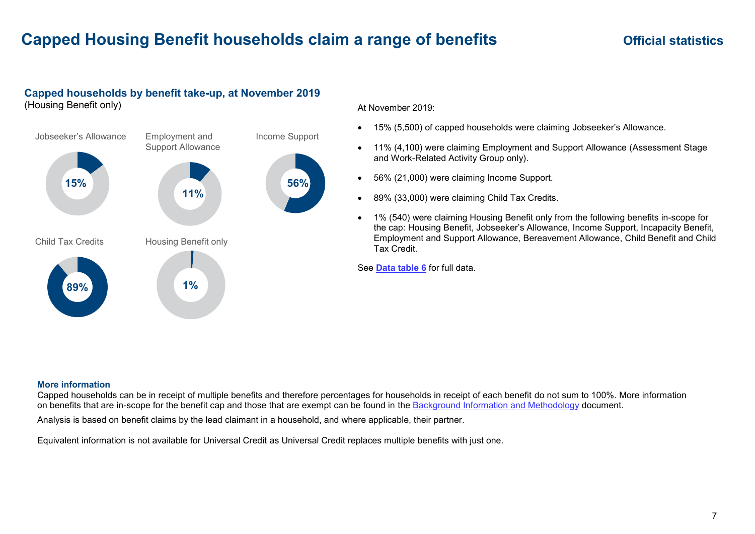# **Capped Housing Benefit households claim a range of benefits <b>Same Capped Housing Benefit households claim a range of benefits Capped Montage Servers**

## **Capped households by benefit take-up, at November 2019**

(Housing Benefit only)



At November 2019:

- 15% (5,500) of capped households were claiming Jobseeker's Allowance.
- $\bullet$  11% (4,100) were claiming Employment and Support Allowance (Assessment Stage and Work-Related Activity Group only).
- 56% (21,000) were claiming Income Support.
- 89% (33,000) were claiming Child Tax Credits.
- $\bullet$  1% (540) were claiming Housing Benefit only from the following benefits in-scope for the cap: Housing Benefit, Jobseeker's Allowance, Income Support, Incapacity Benefit, Employment and Support Allowance, Bereavement Allowance, Child Benefit and Child///////////////////////////////////////////////////////////////////////////////////////////////////////////////////////////////// Tax Credit.

See **[Data table 6](https://www.gov.uk/government/statistics/benefit-cap-number-of-households-capped-to-november-2019)** for full data.

#### **More information**

Capped households can be in receipt of multiple benefits and therefore percentages for households in receipt of each benefit do not sum to 100%. More information on benefits that are in-scope for the benefit cap and those that are exempt can be found in the [Background Information](https://www.gov.uk/government/publications/benefit-cap-statistics-background-information-and-methodology) and Methodology document.

Analysis is based on benefit claims by the lead claimant in a household, and where applicable, their partner.

Equivalent information is not available for Universal Credit as Universal Credit replaces multiple benefits with just one.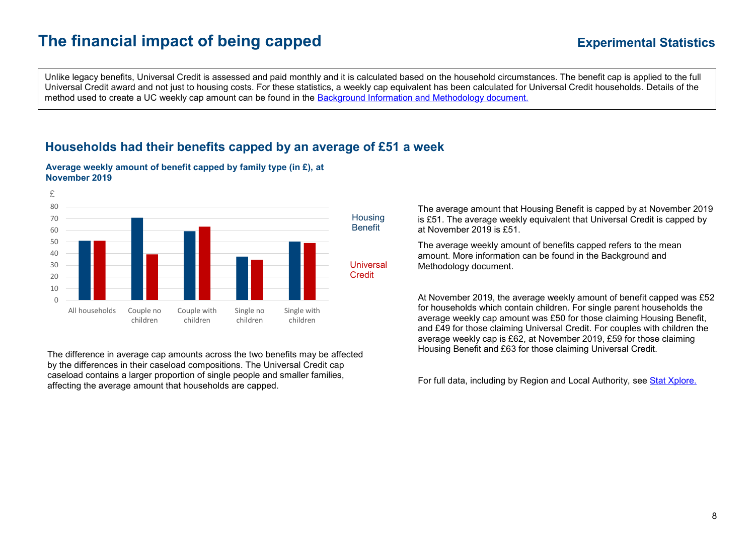# **The financial impact of being capped**

Unlike legacy benefits, Universal Credit is assessed and paid monthly and it is calculated based on the household circumstances. The benefit cap is applied to the full Universal Credit award and not just to housing costs. For these statistics, a weekly cap equivalent has been calculated for Universal Credit households. Details of the method used to create a UC weekly cap amount can be found in the Background Information [and Methodology document.](https://www.gov.uk/government/publications/benefit-cap-statistics-background-information-and-methodology)

## **Households had their benefits capped by an average of £51 a week**



<span id="page-7-0"></span>**Average weekly amount of benefit capped by family type (in £), at November 2019**

The difference in average cap amounts across the two benefits may be affected by the differences in their caseload compositions. The Universal Credit cap caseload contains a larger proportion of single people and smaller families, affecting the average amount that households are capped.

The average amount that Housing Benefit is capped by at November 2019 is £51. The average weekly equivalent that Universal Credit is capped by at November 2019 is £51.

The average weekly amount of benefits capped refers to the mean amount. More information can be found in the Background and Methodology document.

At November 2019, the average weekly amount of benefit capped was £52 for households which contain children. For single parent households the average weekly cap amount was £50 for those claiming Housing Benefit, and £49 for those claiming Universal Credit. For couples with children the average weekly cap is £62, at November 2019, £59 for those claiming Housing Benefit and £63 for those claiming Universal Credit.

For full data, including by Region and Local Authority, see [Stat Xplore.](https://stat-xplore.dwp.gov.uk/webapi/jsf/login.xhtml)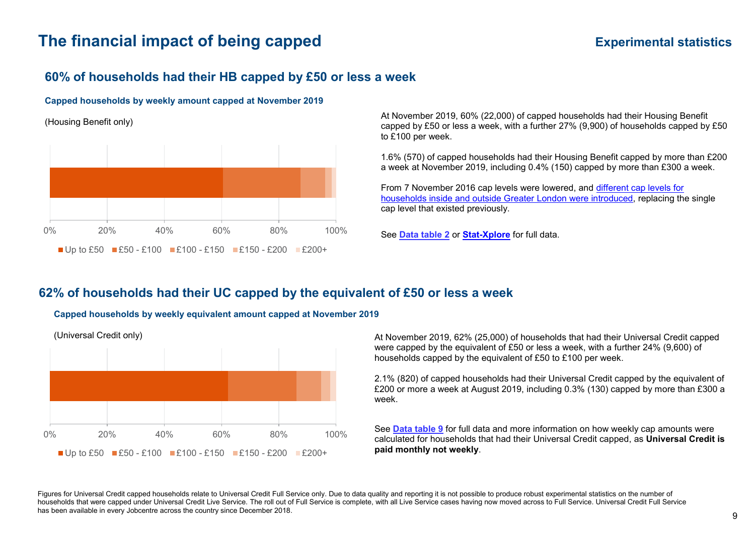# **The financial impact of being capped <b>EXPERIMENT EXPERIMENT EXPERIMENT EXPERIMENT EXPERIMENT EXPERIMENT EXPERIMENT**

## **60% of households had their HB capped by £50 or less a week**

#### **Capped households by weekly amount capped at November 2019**

(Housing Benefit only)



At November 2019, 60% (22,000) of capped households had their Housing Benefit capped by £50 or less a week, with a further 27% (9,900) of households capped by £50 to £100 per week.

1.6% (570) of capped households had their Housing Benefit capped by more than £200 a week at November 2019, including 0.4% (150) capped by more than £300 a week.

From 7 November 2016 cap levels were lowered, and [different cap levels for](https://www.gov.uk/benefit-cap/benefit-cap-amounts)  [households inside and outside Greater](https://www.gov.uk/benefit-cap/benefit-cap-amounts) London were introduced, replacing the single cap level that existed previously.

See **[Data table 2](https://www.gov.uk/government/statistics/benefit-cap-number-of-households-capped-to-november-2019)** or **[Stat-Xplore](https://stat-xplore.dwp.gov.uk/webapi/jsf/login.xhtml)** for full data.

### **62% of households had their UC capped by the equivalent of £50 or less a week**

#### **Capped households by weekly equivalent amount capped at November 2019**



(Universal Credit only)

At November 2019, 62% (25,000) of households that had their Universal Credit capped were capped by the equivalent of £50 or less a week, with a further 24% (9,600) of households capped by the equivalent of £50 to £100 per week.

2.1% (820) of capped households had their Universal Credit capped by the equivalent of £200 or more a week at August 2019, including 0.3% (130) capped by more than £300 a week.

See **[Data table 9](https://www.gov.uk/government/statistics/benefit-cap-number-of-households-capped-to-november-2019)** for full data and more information on how weekly cap amounts were calculated for households that had their Universal Credit capped, as **Universal Credit is paid monthly not weekly**.

Figures for Universal Credit capped households relate to Universal Credit Full Service only. Due to data quality and reporting it is not possible to produce robust experimental statistics on the number of households that were capped under Universal Credit Live Service. The roll out of Full Service is complete, with all Live Service cases having now moved across to Full Service. Universal Credit Full Service has been available in every Jobcentre across the country since December 2018.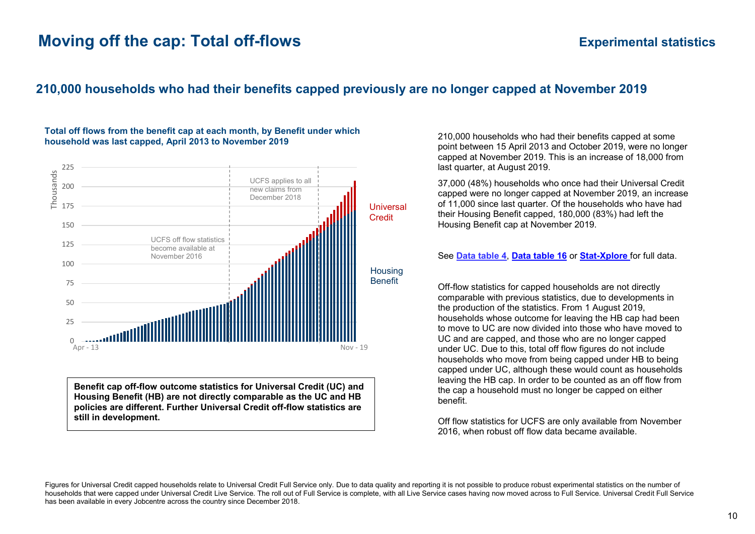# **Moving off the cap: Total off-flows** *Experimental statistics*

## <span id="page-9-0"></span>**210,000 households who had their benefits capped previously are no longer capped at November 2019**



**Total off flows from the benefit cap at each month, by Benefit under which household was last capped, April 2013 to November 2019**

**Benefit cap off-flow outcome statistics for Universal Credit (UC) and Housing Benefit (HB) are not directly comparable as the UC and HB policies are different. Further Universal Credit off-flow statistics are still in development.**

210,000 households who had their benefits capped at some point between 15 April 2013 and October 2019, were no longer capped at November 2019. This is an increase of 18,000 from last quarter, at August 2019.

37,000 (48%) households who once had their Universal Credit capped were no longer capped at November 2019, an increase of 11,000 since last quarter. Of the households who have had their Housing Benefit capped, 180,000 (83%) had left the Housing Benefit cap at November 2019.

#### See **[Data table 4](https://www.gov.uk/government/statistics/benefit-cap-number-of-households-capped-to-november-2019)**, **[Data table 16](https://www.gov.uk/government/statistics/benefit-cap-number-of-households-capped-to-november-2019)** or **[Stat-Xplore](https://stat-xplore.dwp.gov.uk/webapi/jsf/login.xhtml)** for full data.

Off-flow statistics for capped households are not directly comparable with previous statistics, due to developments in the production of the statistics. From 1 August 2019, households whose outcome for leaving the HB cap had been to move to UC are now divided into those who have moved to UC and are capped, and those who are no longer capped under UC. Due to this, total off flow figures do not include households who move from being capped under HB to being capped under UC, although these would count as households leaving the HB cap. In order to be counted as an off flow from the cap a household must no longer be capped on either benefit.

Off flow statistics for UCFS are only available from November 2016, when robust off flow data became available.

Figures for Universal Credit capped households relate to Universal Credit Full Service only. Due to data quality and reporting it is not possible to produce robust experimental statistics on the number of households that were capped under Universal Credit Live Service. The roll out of Full Service is complete, with all Live Service cases having now moved across to Full Service. Universal Credit Full Service has been available in every Jobcentre across the country since December 2018.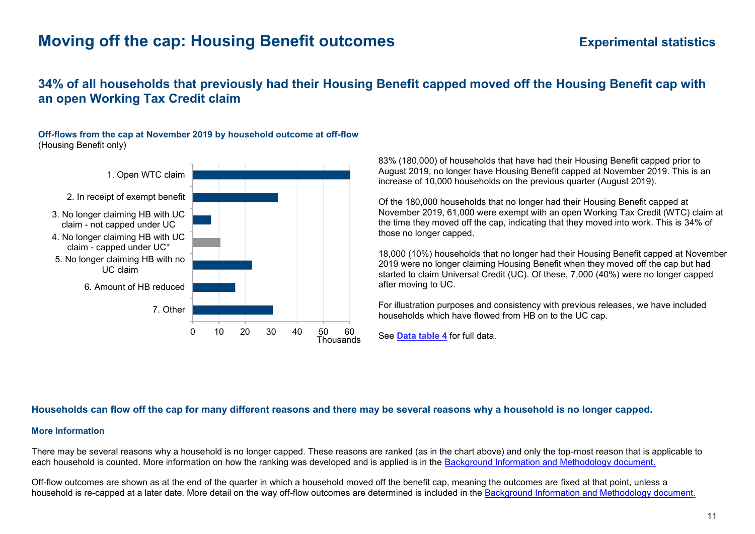# **Moving off the cap: Housing Benefit outcomes Experimental statistics**

## **34% of all households that previously had their Housing Benefit capped moved off the Housing Benefit cap with an open Working Tax Credit claim**

**Off-flows from the cap at November 2019 by household outcome at off-flow** (Housing Benefit only)



83% (180,000) of households that have had their Housing Benefit capped prior to August 2019, no longer have Housing Benefit capped at November 2019. This is an increase of 10,000 households on the previous quarter (August 2019).

Of the 180,000 households that no longer had their Housing Benefit capped at November 2019, 61,000 were exempt with an open Working Tax Credit (WTC) claim at the time they moved off the cap, indicating that they moved into work. This is 34% of those no longer capped.

18,000 (10%) households that no longer had their Housing Benefit capped at November 2019 were no longer claiming Housing Benefit when they moved off the cap but had started to claim Universal Credit (UC). Of these, 7,000 (40%) were no longer capped after moving to UC.

For illustration purposes and consistency with previous releases, we have included households which have flowed from HB on to the UC cap.

### <span id="page-10-0"></span>**Households can flow off the cap for many different reasons and there may be several reasons why a household is no longer capped.**

#### **More Information**

There may be several reasons why a household is no longer capped. These reasons are ranked (as in the chart above) and only the top-most reason that is applicable to each household is counted. More information on how the ranking was developed and is applied is in the [Background Information and Methodology document.](https://www.gov.uk/government/publications/benefit-cap-statistics-background-information-and-methodology)

Off-flow outcomes are shown as at the end of the quarter in which a household moved off the benefit cap, meaning the outcomes are fixed at that point, unless a household is re-capped at a later date. More detail on the way off-flow outcomes are determined is included in the [Background Information and Methodology document.](https://www.gov.uk/government/publications/benefit-cap-statistics-background-information-and-methodology)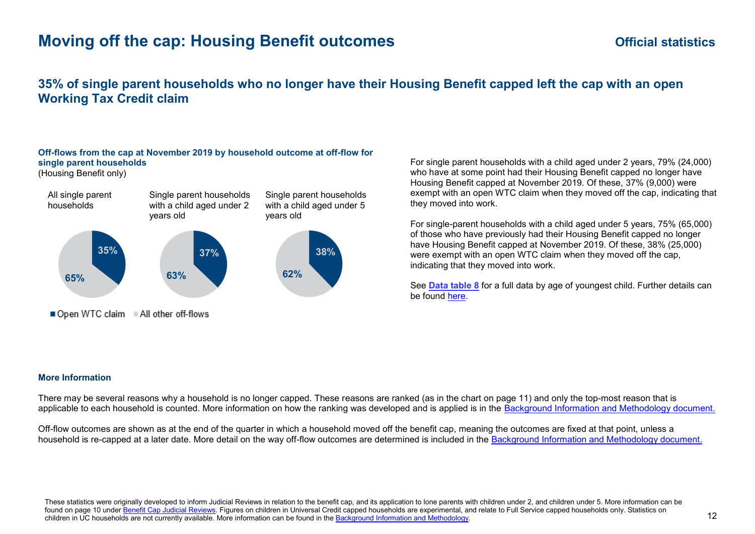# **Moving off the cap: Housing Benefit outcomes** *Construction Construction Construction Construction Construction Construction Construction Construction Construction Construction Construction Construction Construction Cons*

### **35% of single parent households who no longer have their Housing Benefit capped left the cap with an open Working Tax Credit claim**

### **Off-flows from the cap at November 2019 by household outcome at off-flow for single parent households**

(Housing Benefit only)



For single parent households with a child aged under 2 years, 79% (24,000) who have at some point had their Housing Benefit capped no longer have Housing Benefit capped at November 2019. Of these, 37% (9,000) were exempt with an open WTC claim when they moved off the cap, indicating that they moved into work.

For single-parent households with a child aged under 5 years, 75% (65,000) of those who have previously had their Housing Benefit capped no longer have Housing Benefit capped at November 2019. Of these, 38% (25,000) were exempt with an open WTC claim when they moved off the cap, indicating that they moved into work.

See **[Data table 8](https://www.gov.uk/government/statistics/benefit-cap-number-of-households-capped-to-november-2019)** for a full data by age of youngest child. Further details can be found [here.](#page-14-1)

#### **More Information**

There may be several reasons why a household is no longer capped. These reasons are ranked (as in the chart on page 11) and only the top-most reason that is applicable to each household is counted. More information on how the ranking was developed and is applied is in the [Background Information and Methodology document.](https://www.gov.uk/government/publications/benefit-cap-statistics-background-information-and-methodology)

Off-flow outcomes are shown as at the end of the quarter in which a household moved off the benefit cap, meaning the outcomes are fixed at that point, unless a household is re-capped at a later date. More detail on the way off-flow outcomes are determined is included in the [Background Information and Methodology document.](https://www.gov.uk/government/publications/benefit-cap-statistics-background-information-and-methodology)

These statistics were originally developed to inform Judicial Reviews in relation to the benefit cap, and its application to lone parents with children under 2, and children under 5. More information can be found on page 10 unde[r Benefit Cap Judicial Reviews.](#page-14-0) Figures on children in Universal Credit capped households are experimental, and relate to Full Service capped households only. Statistics on children in UC households are not currently available. More information can be found in th[e Background Information and Methodology.](https://www.gov.uk/government/publications/benefit-cap-statistics-background-information-and-methodology)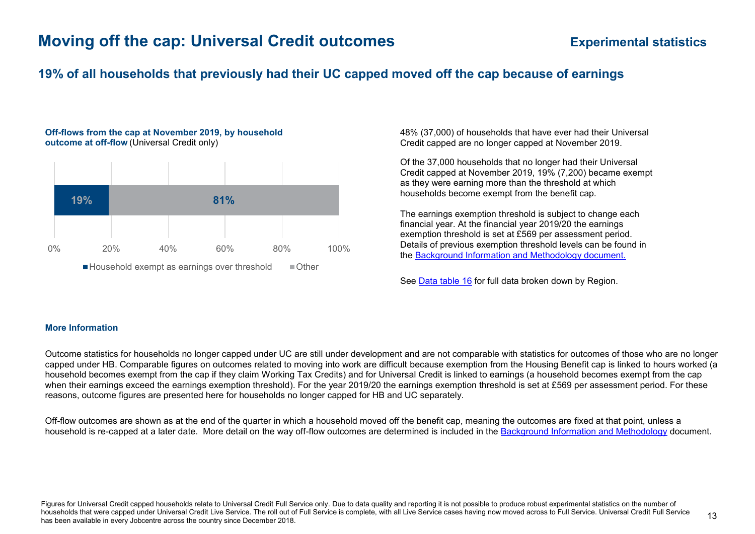# **Moving off the cap: Universal Credit outcomes Experimental statistics**

### **19% of all households that previously had their UC capped moved off the cap because of earnings**

#### **Off-flows from the cap at November 2019, by household outcome at off-flow** (Universal Credit only)



48% (37,000) of households that have ever had their Universal Credit capped are no longer capped at November 2019.

Of the 37,000 households that no longer had their Universal Credit capped at November 2019, 19% (7,200) became exempt as they were earning more than the threshold at which households become exempt from the benefit cap.

The earnings exemption threshold is subject to change each financial year. At the financial year 2019/20 the earnings exemption threshold is set at £569 per assessment period. Details of previous exemption threshold levels can be found in the [Background Information and Methodology document.](https://www.gov.uk/government/publications/benefit-cap-statistics-background-information-and-methodology)

See [Data table 16](https://www.gov.uk/government/statistics/benefit-cap-number-of-households-capped-to-november-2019) for full data broken down by Region.

#### **More Information**

Outcome statistics for households no longer capped under UC are still under development and are not comparable with statistics for outcomes of those who are no longer capped under HB. Comparable figures on outcomes related to moving into work are difficult because exemption from the Housing Benefit cap is linked to hours worked (a household becomes exempt from the cap if they claim Working Tax Credits) and for Universal Credit is linked to earnings (a household becomes exempt from the cap when their earnings exceed the earnings exemption threshold). For the year 2019/20 the earnings exemption threshold is set at £569 per assessment period. For these reasons, outcome figures are presented here for households no longer capped for HB and UC separately.

Off-flow outcomes are shown as at the end of the quarter in which a household moved off the benefit cap, meaning the outcomes are fixed at that point, unless a household is re-capped at a later date. More detail on the way off-flow outcomes are determined is included in the [Background Information and Methodology](https://www.gov.uk/government/publications/benefit-cap-statistics-background-information-and-methodology) document.

Figures for Universal Credit capped households relate to Universal Credit Full Service only. Due to data quality and reporting it is not possible to produce robust experimental statistics on the number of households that were capped under Universal Credit Live Service. The roll out of Full Service is complete, with all Live Service cases having now moved across to Full Service. Universal Credit Full Service has been available in every Jobcentre across the country since December 2018.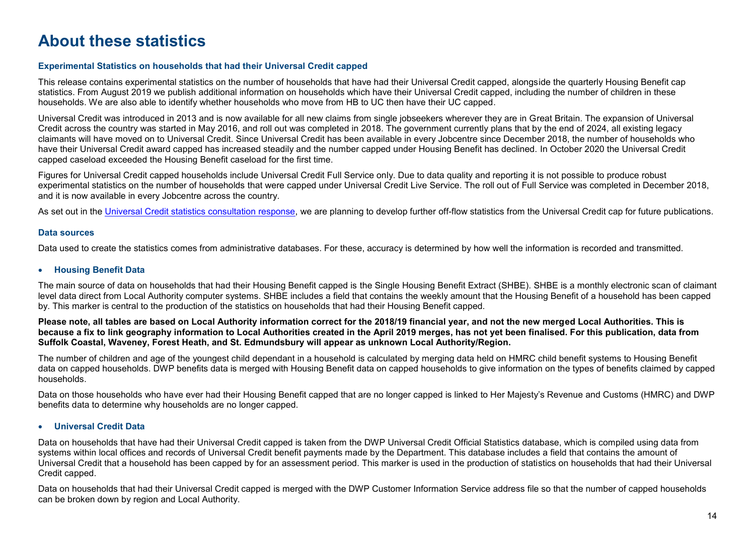# **About these statistics**

### **Experimental Statistics on households that had their Universal Credit capped**

This release contains experimental statistics on the number of households that have had their Universal Credit capped, alongside the quarterly Housing Benefit cap statistics. From August 2019 we publish additional information on households which have their Universal Credit capped, including the number of children in these households. We are also able to identify whether households who move from HB to UC then have their UC capped.

Universal Credit was introduced in 2013 and is now available for all new claims from single jobseekers wherever they are in Great Britain. The expansion of Universal Credit across the country was started in May 2016, and roll out was completed in 2018. The government currently plans that by the end of 2024, all existing legacy claimants will have moved on to Universal Credit. Since Universal Credit has been available in every Jobcentre since December 2018, the number of households who have their Universal Credit award capped has increased steadily and the number capped under Housing Benefit has declined. In October 2020 the Universal Credit capped caseload exceeded the Housing Benefit caseload for the first time.

Figures for Universal Credit capped households include Universal Credit Full Service only. Due to data quality and reporting it is not possible to produce robust experimental statistics on the number of households that were capped under Universal Credit Live Service. The roll out of Full Service was completed in December 2018, and it is now available in every Jobcentre across the country.

As set out in the [Universal Credit statistics consultation response,](https://www.gov.uk/government/publications/universal-credit-statistics-background-information/universal-credit-statistics-release-strategy) we are planning to develop further off-flow statistics from the Universal Credit cap for future publications.

#### **Data sources**

Data used to create the statistics comes from administrative databases. For these, accuracy is determined by how well the information is recorded and transmitted.

#### <span id="page-13-0"></span>**Housing Benefit Data**

The main source of data on households that had their Housing Benefit capped is the Single Housing Benefit Extract (SHBE). SHBE is a monthly electronic scan of claimant level data direct from Local Authority computer systems. SHBE includes a field that contains the weekly amount that the Housing Benefit of a household has been capped by. This marker is central to the production of the statistics on households that had their Housing Benefit capped.

**Please note, all tables are based on Local Authority information correct for the 2018/19 financial year, and not the new merged Local Authorities. This is because a fix to link geography information to Local Authorities created in the April 2019 merges, has not yet been finalised. For this publication, data from Suffolk Coastal, Waveney, Forest Heath, and St. Edmundsbury will appear as unknown Local Authority/Region.**

The number of children and age of the youngest child dependant in a household is calculated by merging data held on HMRC child benefit systems to Housing Benefit data on capped households. DWP benefits data is merged with Housing Benefit data on capped households to give information on the types of benefits claimed by capped households.

Data on those households who have ever had their Housing Benefit capped that are no longer capped is linked to Her Majesty's Revenue and Customs (HMRC) and DWP benefits data to determine why households are no longer capped.

#### <span id="page-13-1"></span>**Universal Credit Data**

Data on households that have had their Universal Credit capped is taken from the DWP Universal Credit Official Statistics database, which is compiled using data from systems within local offices and records of Universal Credit benefit payments made by the Department. This database includes a field that contains the amount of Universal Credit that a household has been capped by for an assessment period. This marker is used in the production of statistics on households that had their Universal Credit capped.

Data on households that had their Universal Credit capped is merged with the DWP Customer Information Service address file so that the number of capped households can be broken down by region and Local Authority.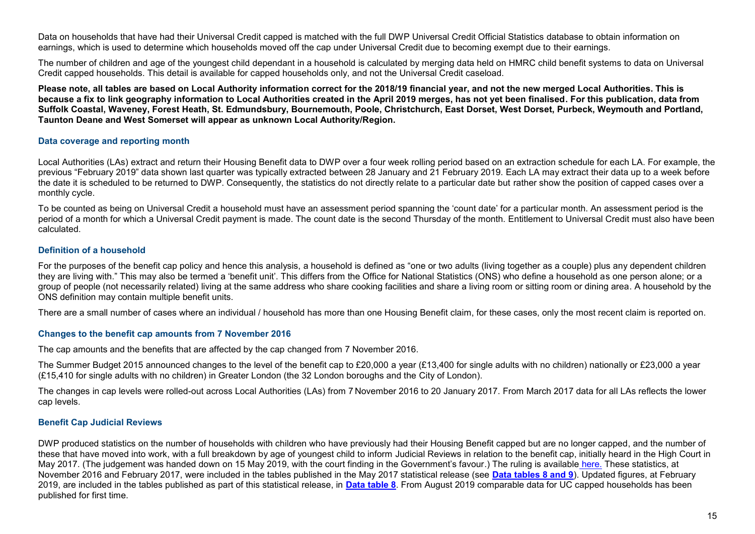Data on households that have had their Universal Credit capped is matched with the full DWP Universal Credit Official Statistics database to obtain information on earnings, which is used to determine which households moved off the cap under Universal Credit due to becoming exempt due to their earnings.

The number of children and age of the youngest child dependant in a household is calculated by merging data held on HMRC child benefit systems to data on Universal Credit capped households. This detail is available for capped households only, and not the Universal Credit caseload.

**Please note, all tables are based on Local Authority information correct for the 2018/19 financial year, and not the new merged Local Authorities. This is because a fix to link geography information to Local Authorities created in the April 2019 merges, has not yet been finalised. For this publication, data from Suffolk Coastal, Waveney, Forest Heath, St. Edmundsbury, Bournemouth, Poole, Christchurch, East Dorset, West Dorset, Purbeck, Weymouth and Portland, Taunton Deane and West Somerset will appear as unknown Local Authority/Region.**

#### **Data coverage and reporting month**

Local Authorities (LAs) extract and return their Housing Benefit data to DWP over a four week rolling period based on an extraction schedule for each LA. For example, the previous "February 2019" data shown last quarter was typically extracted between 28 January and 21 February 2019. Each LA may extract their data up to a week before the date it is scheduled to be returned to DWP. Consequently, the statistics do not directly relate to a particular date but rather show the position of capped cases over a monthly cycle.

To be counted as being on Universal Credit a household must have an assessment period spanning the 'count date' for a particular month. An assessment period is the period of a month for which a Universal Credit payment is made. The count date is the second Thursday of the month. Entitlement to Universal Credit must also have been calculated.

#### <span id="page-14-1"></span>**Definition of a household**

For the purposes of the benefit cap policy and hence this analysis, a household is defined as "one or two adults (living together as a couple) plus any dependent children they are living with." This may also be termed a 'benefit unit'. This differs from the Office for National Statistics (ONS) who define a household as one person alone; or a group of people (not necessarily related) living at the same address who share cooking facilities and share a living room or sitting room or dining area. A household by the ONS definition may contain multiple benefit units.

There are a small number of cases where an individual / household has more than one Housing Benefit claim, for these cases, only the most recent claim is reported on.

#### **Changes to the benefit cap amounts from 7 November 2016**

The cap amounts and the benefits that are affected by the cap changed from 7 November 2016.

The Summer Budget 2015 announced changes to the level of the benefit cap to £20,000 a year (£13,400 for single adults with no children) nationally or £23,000 a year (£15,410 for single adults with no children) in Greater London (the 32 London boroughs and the City of London).

The changes in cap levels were rolled-out across Local Authorities (LAs) from 7 November 2016 to 20 January 2017. From March 2017 data for all LAs reflects the lower cap levels.

### <span id="page-14-0"></span>**Benefit Cap Judicial Reviews**

DWP produced statistics on the number of households with children who have previously had their Housing Benefit capped but are no longer capped, and the number of these that have moved into work, with a full breakdown by age of youngest child to inform Judicial Reviews in relation to the benefit cap, initially heard in the High Court in May 2017. (The judgement was handed down on 15 May 2019, with the court finding in the Government's favour.) The ruling is available [here.](https://www.supremecourt.uk/cases/docs/uksc-2018-0061-judgment.pdf) These statistics, at November 2016 and February 2017, were included in the tables published in the May 2017 statistical release (see **[Data tables 8 and 9](https://www.gov.uk/government/statistics/benefit-cap-number-of-households-capped-to-may-2017)**). Updated figures, at February 2019, are included in the tables published as part of this statistical release, in **[Data table 8](https://www.gov.uk/government/statistics/benefit-cap-number-of-households-capped-to-november-2019)**. From August 2019 comparable data for UC capped households has been published for first time.